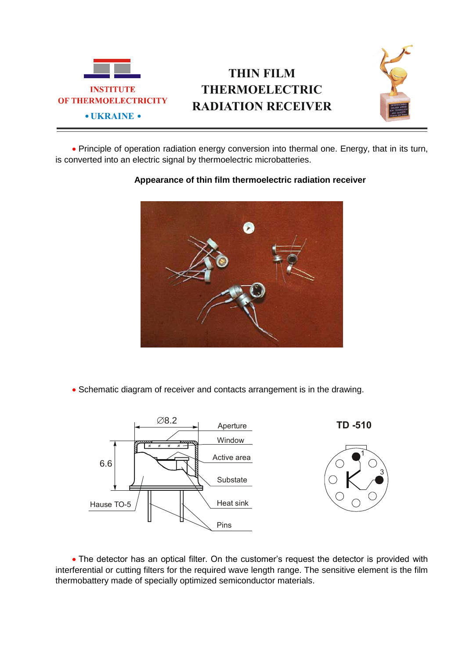

## **THIN FILM THERMOELECTRIC RADIATION RECEIVER**



 Principle of operation radiation energy conversion into thermal one. Energy, that in its turn, is converted into an electric signal by thermoelectric microbatteries.

## **Appearance of thin film thermoelectric radiation receiver**

• Schematic diagram of receiver and contacts arrangement is in the drawing.



• The detector has an optical filter. On the customer's request the detector is provided with interferential or cutting filters for the required wave length range. The sensitive element is the film thermobattery made of specially optimized semiconductor materials.